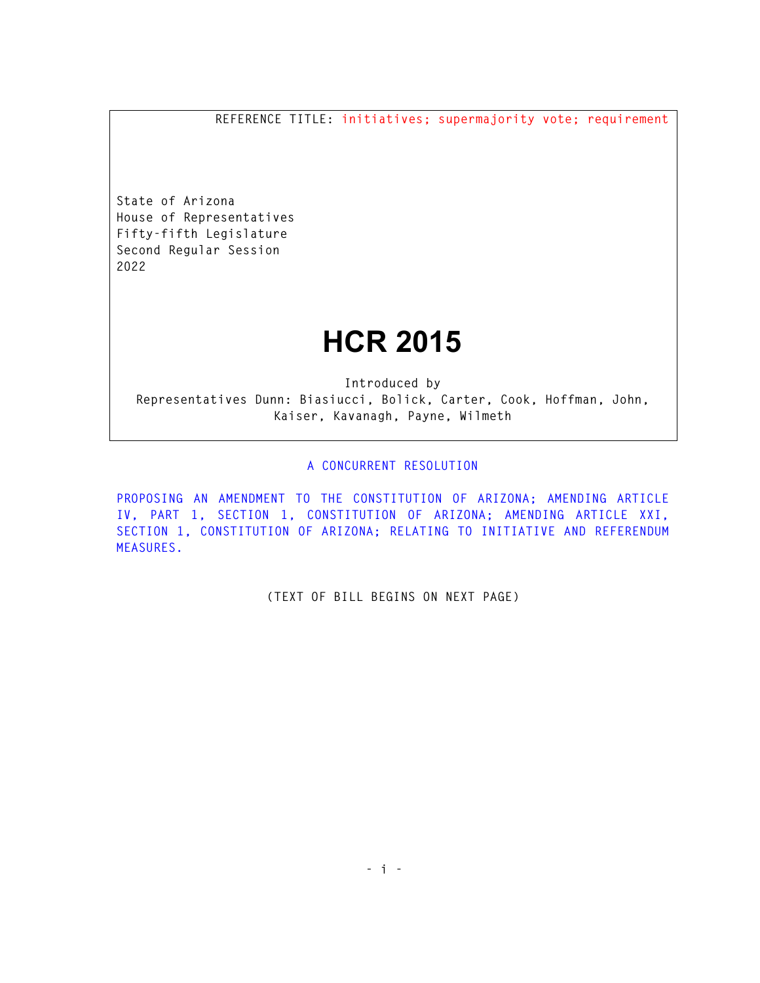**REFERENCE TITLE: initiatives; supermajority vote; requirement** 

**State of Arizona House of Representatives Fifty-fifth Legislature Second Regular Session 2022** 

## **HCR 2015**

**Introduced by Representatives Dunn: Biasiucci, Bolick, Carter, Cook, Hoffman, John, Kaiser, Kavanagh, Payne, Wilmeth** 

## **A CONCURRENT RESOLUTION**

**PROPOSING AN AMENDMENT TO THE CONSTITUTION OF ARIZONA; AMENDING ARTICLE IV, PART 1, SECTION 1, CONSTITUTION OF ARIZONA; AMENDING ARTICLE XXI, SECTION 1, CONSTITUTION OF ARIZONA; RELATING TO INITIATIVE AND REFERENDUM MEASURES.** 

**(TEXT OF BILL BEGINS ON NEXT PAGE)**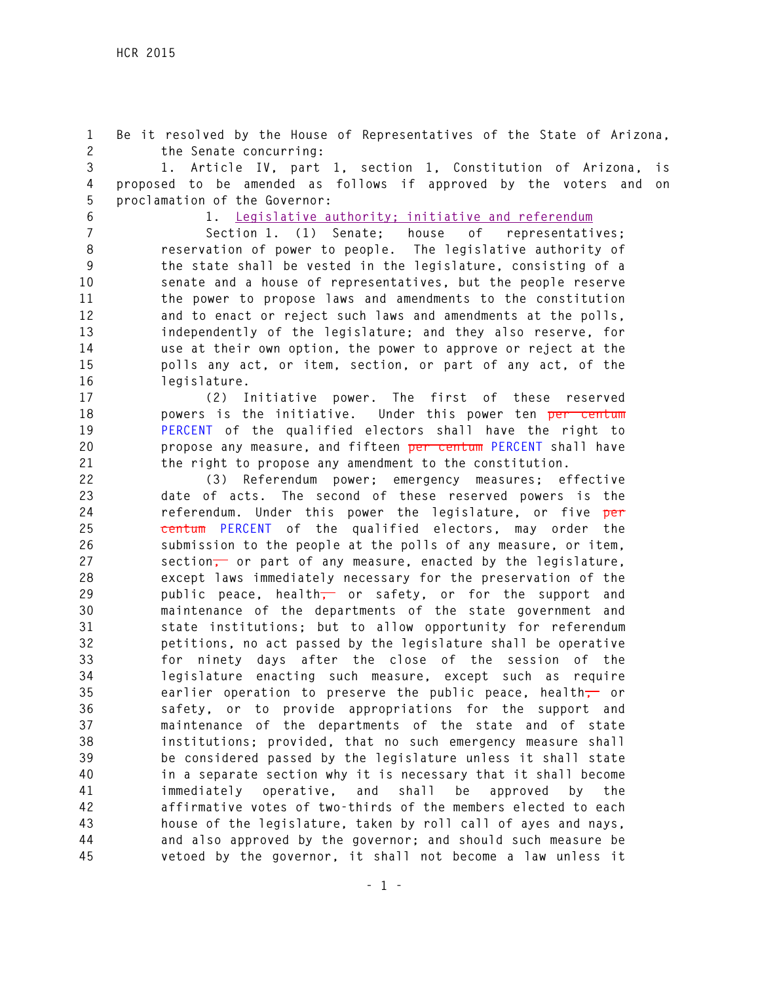**1 Be it resolved by the House of Representatives of the State of Arizona, 2 the Senate concurring:** 

**3 1. Article IV, part 1, section 1, Constitution of Arizona, is 4 proposed to be amended as follows if approved by the voters and on 5 proclamation of the Governor:** 

**6 1. Legislative authority; initiative and referendum** 

**7 Section 1. (1) Senate; house of representatives; 8 reservation of power to people. The legislative authority of 9 the state shall be vested in the legislature, consisting of a 10 senate and a house of representatives, but the people reserve 11 the power to propose laws and amendments to the constitution 12 and to enact or reject such laws and amendments at the polls, 13 independently of the legislature; and they also reserve, for 14 use at their own option, the power to approve or reject at the 15 polls any act, or item, section, or part of any act, of the 16 legislature.** 

**17 (2) Initiative power. The first of these reserved 18 powers is the initiative. Under this power ten per centum 19 PERCENT of the qualified electors shall have the right to 20 propose any measure, and fifteen per centum PERCENT shall have 21 the right to propose any amendment to the constitution.** 

**22 (3) Referendum power; emergency measures; effective 23 date of acts. The second of these reserved powers is the 24 referendum. Under this power the legislature, or five per 25 centum PERCENT of the qualified electors, may order the 26 submission to the people at the polls of any measure, or item, 27 section, or part of any measure, enacted by the legislature, 28 except laws immediately necessary for the preservation of the**  29 **public peace, health**, or safety, or for the support and **30 maintenance of the departments of the state government and 31 state institutions; but to allow opportunity for referendum 32 petitions, no act passed by the legislature shall be operative 33 for ninety days after the close of the session of the 34 legislature enacting such measure, except such as require 35 earlier operation to preserve the public peace, health, or 36 safety, or to provide appropriations for the support and 37 maintenance of the departments of the state and of state 38 institutions; provided, that no such emergency measure shall 39 be considered passed by the legislature unless it shall state 40 in a separate section why it is necessary that it shall become 41 immediately operative, and shall be approved by the 42 affirmative votes of two-thirds of the members elected to each 43 house of the legislature, taken by roll call of ayes and nays, 44 and also approved by the governor; and should such measure be 45 vetoed by the governor, it shall not become a law unless it**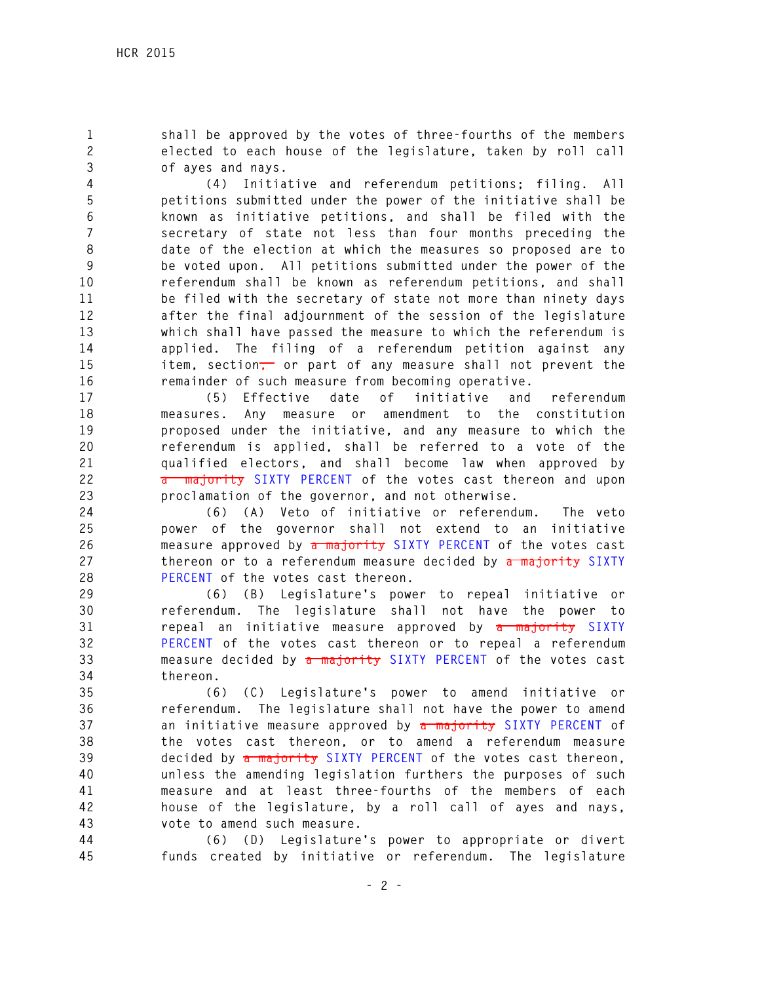**1 shall be approved by the votes of three-fourths of the members 2 elected to each house of the legislature, taken by roll call 3 of ayes and nays.** 

**4 (4) Initiative and referendum petitions; filing. All 5 petitions submitted under the power of the initiative shall be 6 known as initiative petitions, and shall be filed with the 7 secretary of state not less than four months preceding the 8 date of the election at which the measures so proposed are to 9 be voted upon. All petitions submitted under the power of the 10 referendum shall be known as referendum petitions, and shall 11 be filed with the secretary of state not more than ninety days 12 after the final adjournment of the session of the legislature 13 which shall have passed the measure to which the referendum is 14 applied. The filing of a referendum petition against any 15 item, section, or part of any measure shall not prevent the 16 remainder of such measure from becoming operative.** 

**17 (5) Effective date of initiative and referendum 18 measures. Any measure or amendment to the constitution 19 proposed under the initiative, and any measure to which the 20 referendum is applied, shall be referred to a vote of the 21 qualified electors, and shall become law when approved by 22 a majority SIXTY PERCENT of the votes cast thereon and upon 23 proclamation of the governor, and not otherwise.** 

**24 (6) (A) Veto of initiative or referendum. The veto 25 power of the governor shall not extend to an initiative 26 measure approved by a majority SIXTY PERCENT of the votes cast 27 thereon or to a referendum measure decided by a majority SIXTY 28 PERCENT of the votes cast thereon.** 

**29 (6) (B) Legislature's power to repeal initiative or 30 referendum. The legislature shall not have the power to 31 repeal an initiative measure approved by a majority SIXTY 32 PERCENT of the votes cast thereon or to repeal a referendum 33 measure decided by a majority SIXTY PERCENT of the votes cast 34 thereon.** 

**35 (6) (C) Legislature's power to amend initiative or 36 referendum. The legislature shall not have the power to amend 37 an initiative measure approved by a majority SIXTY PERCENT of 38 the votes cast thereon, or to amend a referendum measure 39 decided by a majority SIXTY PERCENT of the votes cast thereon, 40 unless the amending legislation furthers the purposes of such 41 measure and at least three-fourths of the members of each 42 house of the legislature, by a roll call of ayes and nays, 43 vote to amend such measure.** 

**44 (6) (D) Legislature's power to appropriate or divert 45 funds created by initiative or referendum. The legislature**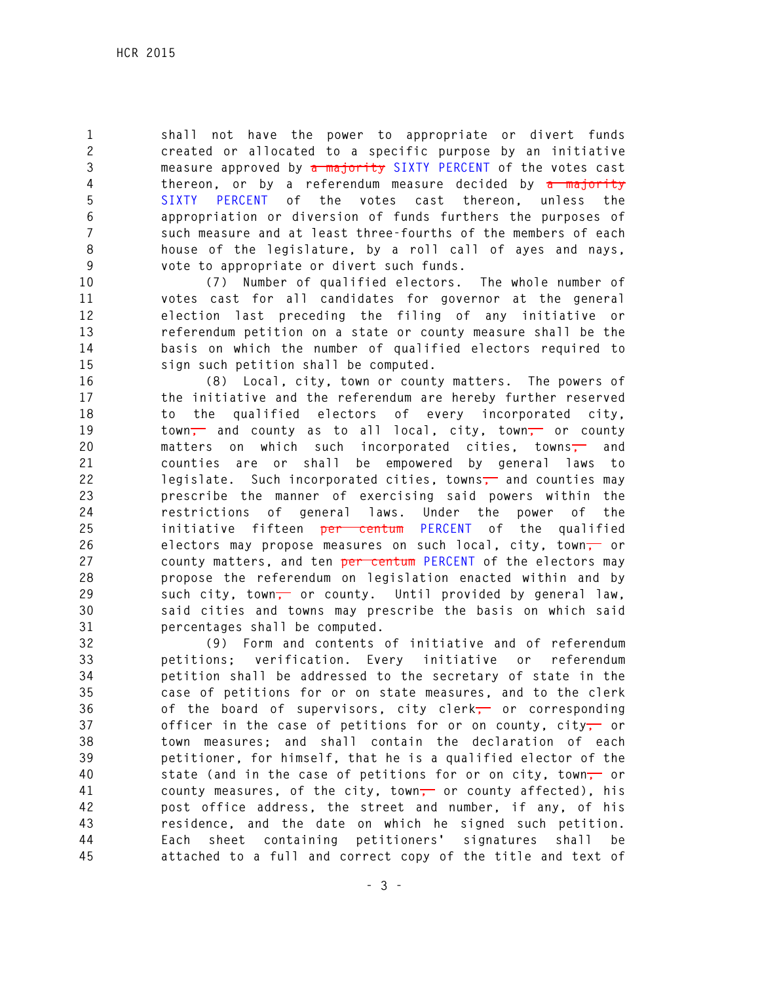**1 shall not have the power to appropriate or divert funds 2 created or allocated to a specific purpose by an initiative 3 measure approved by a majority SIXTY PERCENT of the votes cast 4 thereon, or by a referendum measure decided by a majority 5 SIXTY PERCENT of the votes cast thereon, unless the 6 appropriation or diversion of funds furthers the purposes of 7 such measure and at least three-fourths of the members of each 8 house of the legislature, by a roll call of ayes and nays, 9 vote to appropriate or divert such funds.** 

**10 (7) Number of qualified electors. The whole number of 11 votes cast for all candidates for governor at the general 12 election last preceding the filing of any initiative or 13 referendum petition on a state or county measure shall be the 14 basis on which the number of qualified electors required to 15 sign such petition shall be computed.** 

**16 (8) Local, city, town or county matters. The powers of 17 the initiative and the referendum are hereby further reserved 18 to the qualified electors of every incorporated city,**  19 town<del>, and county as to all local, city, town, or county</del> **20 matters on which such incorporated cities, towns, and 21 counties are or shall be empowered by general laws to 22 legislate. Such incorporated cities, towns, and counties may 23 prescribe the manner of exercising said powers within the 24 restrictions of general laws. Under the power of the 25 initiative fifteen per centum PERCENT of the qualified**  26 electors may propose measures on such local, city, town<del>,</del> or **27 county matters, and ten per centum PERCENT of the electors may 28 propose the referendum on legislation enacted within and by**  29 such city, town<del>,</del> or county. Until provided by general law, **30 said cities and towns may prescribe the basis on which said 31 percentages shall be computed.** 

**32 (9) Form and contents of initiative and of referendum 33 petitions; verification. Every initiative or referendum 34 petition shall be addressed to the secretary of state in the 35 case of petitions for or on state measures, and to the clerk 36 of the board of supervisors, city clerk, or corresponding 37 officer in the case of petitions for or on county, city, or 38 town measures; and shall contain the declaration of each 39 petitioner, for himself, that he is a qualified elector of the**  40 state (and in the case of petitions for or on city, town<del>,</del> or **41 county measures, of the city, town, or county affected), his 42 post office address, the street and number, if any, of his 43 residence, and the date on which he signed such petition. 44 Each sheet containing petitioners' signatures shall be 45 attached to a full and correct copy of the title and text of**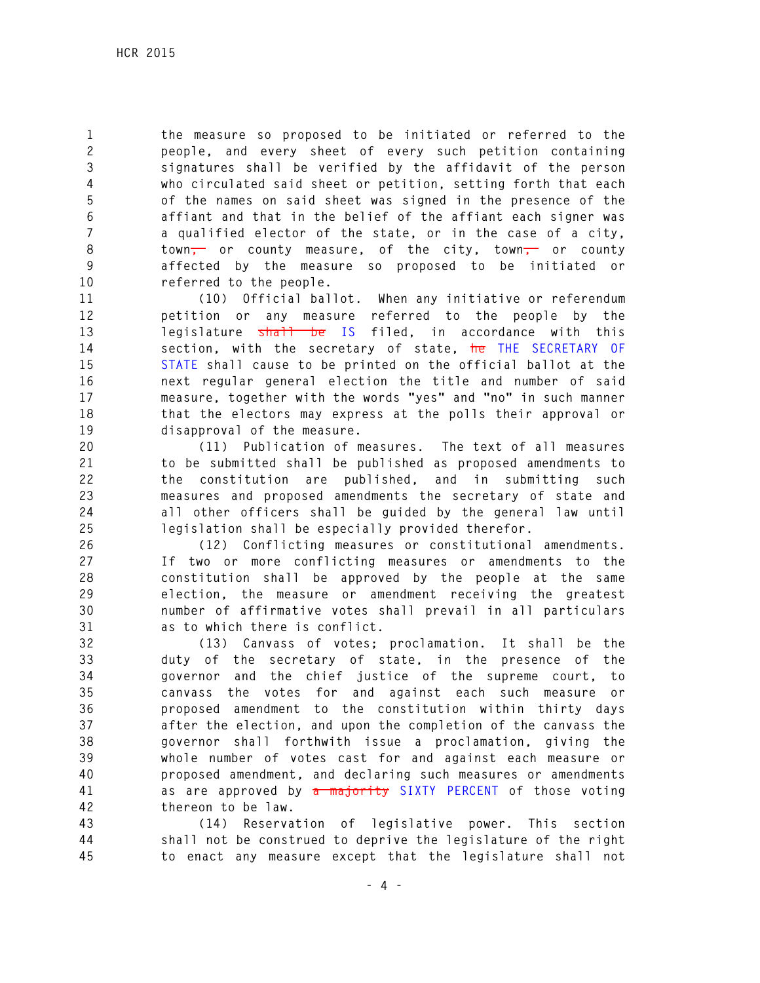**1 the measure so proposed to be initiated or referred to the 2 people, and every sheet of every such petition containing 3 signatures shall be verified by the affidavit of the person 4 who circulated said sheet or petition, setting forth that each 5 of the names on said sheet was signed in the presence of the 6 affiant and that in the belief of the affiant each signer was 7 a qualified elector of the state, or in the case of a city,**  8 town<del>, </del> or county measure, of the city, town<del>,</del> or county **9 affected by the measure so proposed to be initiated or 10 referred to the people.** 

**11 (10) Official ballot. When any initiative or referendum 12 petition or any measure referred to the people by the 13 legislature shall be IS filed, in accordance with this 14 section, with the secretary of state, he THE SECRETARY OF 15 STATE shall cause to be printed on the official ballot at the 16 next regular general election the title and number of said 17 measure, together with the words "yes" and "no" in such manner 18 that the electors may express at the polls their approval or 19 disapproval of the measure.** 

**20 (11) Publication of measures. The text of all measures 21 to be submitted shall be published as proposed amendments to 22 the constitution are published, and in submitting such 23 measures and proposed amendments the secretary of state and 24 all other officers shall be guided by the general law until 25 legislation shall be especially provided therefor.** 

**26 (12) Conflicting measures or constitutional amendments. 27 If two or more conflicting measures or amendments to the 28 constitution shall be approved by the people at the same 29 election, the measure or amendment receiving the greatest 30 number of affirmative votes shall prevail in all particulars 31 as to which there is conflict.** 

**32 (13) Canvass of votes; proclamation. It shall be the 33 duty of the secretary of state, in the presence of the 34 governor and the chief justice of the supreme court, to 35 canvass the votes for and against each such measure or 36 proposed amendment to the constitution within thirty days 37 after the election, and upon the completion of the canvass the 38 governor shall forthwith issue a proclamation, giving the 39 whole number of votes cast for and against each measure or 40 proposed amendment, and declaring such measures or amendments 41 as are approved by a majority SIXTY PERCENT of those voting 42 thereon to be law.** 

**43 (14) Reservation of legislative power. This section 44 shall not be construed to deprive the legislature of the right 45 to enact any measure except that the legislature shall not**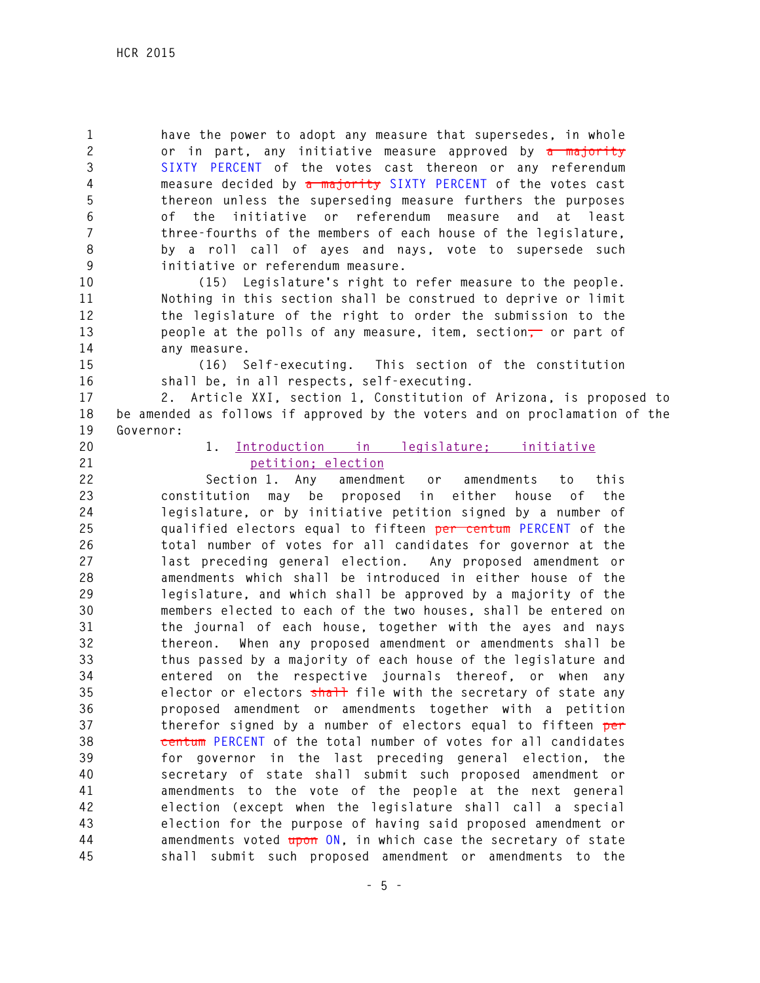**1 have the power to adopt any measure that supersedes, in whole 2 or in part, any initiative measure approved by a majority 3 SIXTY PERCENT of the votes cast thereon or any referendum 4 measure decided by a majority SIXTY PERCENT of the votes cast 5 thereon unless the superseding measure furthers the purposes 6 of the initiative or referendum measure and at least 7 three-fourths of the members of each house of the legislature, 8 by a roll call of ayes and nays, vote to supersede such 9 initiative or referendum measure.** 

**10 (15) Legislature's right to refer measure to the people. 11 Nothing in this section shall be construed to deprive or limit 12 the legislature of the right to order the submission to the**  13 **beople at the polls of any measure, item, section**, or part of **14 any measure.** 

**15 (16) Self-executing. This section of the constitution 16 shall be, in all respects, self-executing.** 

**17 2. Article XXI, section 1, Constitution of Arizona, is proposed to 18 be amended as follows if approved by the voters and on proclamation of the 19 Governor:** 

## **20 1. Introduction in legislature; initiative 21 petition; election**

**22 Section 1. Any amendment or amendments to this 23 constitution may be proposed in either house of the 24 legislature, or by initiative petition signed by a number of 25 qualified electors equal to fifteen per centum PERCENT of the 26 total number of votes for all candidates for governor at the 27 last preceding general election. Any proposed amendment or 28 amendments which shall be introduced in either house of the 29 legislature, and which shall be approved by a majority of the 30 members elected to each of the two houses, shall be entered on 31 the journal of each house, together with the ayes and nays 32 thereon. When any proposed amendment or amendments shall be 33 thus passed by a majority of each house of the legislature and 34 entered on the respective journals thereof, or when any 35 elector or electors shall file with the secretary of state any 36 proposed amendment or amendments together with a petition 37 therefor signed by a number of electors equal to fifteen per 38 centum PERCENT of the total number of votes for all candidates 39 for governor in the last preceding general election, the 40 secretary of state shall submit such proposed amendment or 41 amendments to the vote of the people at the next general 42 election (except when the legislature shall call a special 43 election for the purpose of having said proposed amendment or 44 amendments voted upon ON, in which case the secretary of state 45 shall submit such proposed amendment or amendments to the**